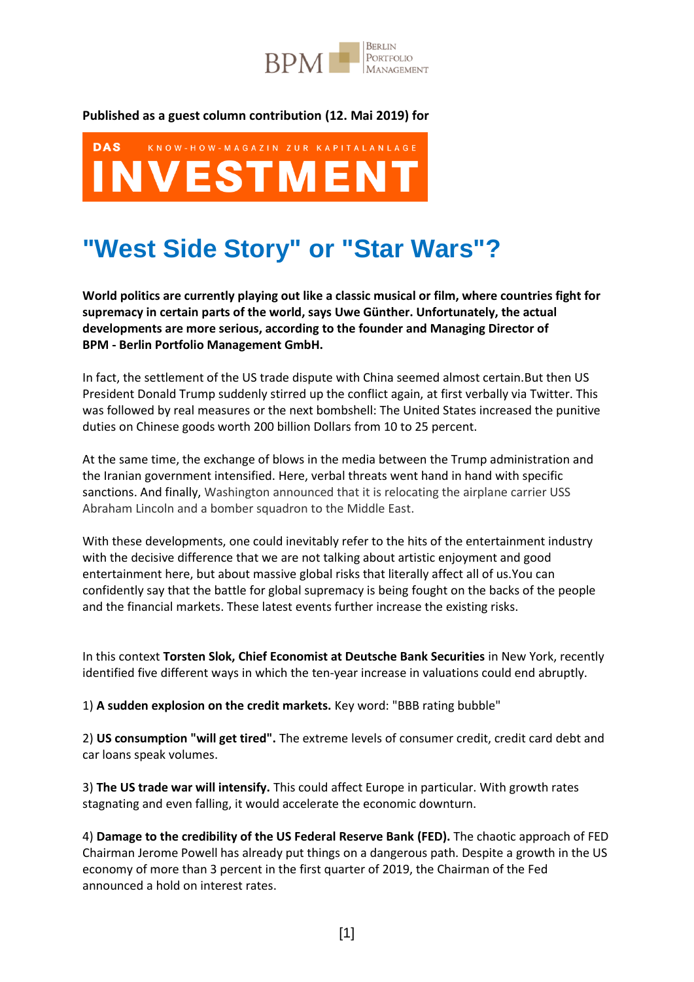

## **Published as a guest column contribution (12. Mai 2019) for**



# **"West Side Story" or "Star Wars"?**

**World politics are currently playing out like a classic musical or film, where countries fight for supremacy in certain parts of the world, says Uwe Günther. Unfortunately, the actual developments are more serious, according to the founder and Managing Director of BPM - Berlin Portfolio Management GmbH.**

In fact, the settlement of the US trade dispute with China seemed almost certain.But then US President Donald Trump suddenly stirred up the conflict again, at first verbally via Twitter. This was followed by real measures or the next bombshell: The United States increased the punitive duties on Chinese goods worth 200 billion Dollars from 10 to 25 percent.

At the same time, the exchange of blows in the media between the Trump administration and the Iranian government intensified. Here, verbal threats went hand in hand with specific sanctions. And finally, Washington announced that it is relocating the airplane carrier USS Abraham Lincoln and a bomber squadron to the Middle East.

With these developments, one could inevitably refer to the hits of the entertainment industry with the decisive difference that we are not talking about artistic enjoyment and good entertainment here, but about massive global risks that literally affect all of us.You can confidently say that the battle for global supremacy is being fought on the backs of the people and the financial markets. These latest events further increase the existing risks.

In this context **Torsten Slok, Chief Economist at Deutsche Bank Securities** in New York, recently identified five different ways in which the ten-year increase in valuations could end abruptly.

1) **A sudden explosion on the credit markets.** Key word: "BBB rating bubble"

2) **US consumption "will get tired".** The extreme levels of consumer credit, credit card debt and car loans speak volumes.

3) **The US trade war will intensify.** This could affect Europe in particular. With growth rates stagnating and even falling, it would accelerate the economic downturn.

4) **Damage to the credibility of the US Federal Reserve Bank (FED).** The chaotic approach of FED Chairman Jerome Powell has already put things on a dangerous path. Despite a growth in the US economy of more than 3 percent in the first quarter of 2019, the Chairman of the Fed announced a hold on interest rates.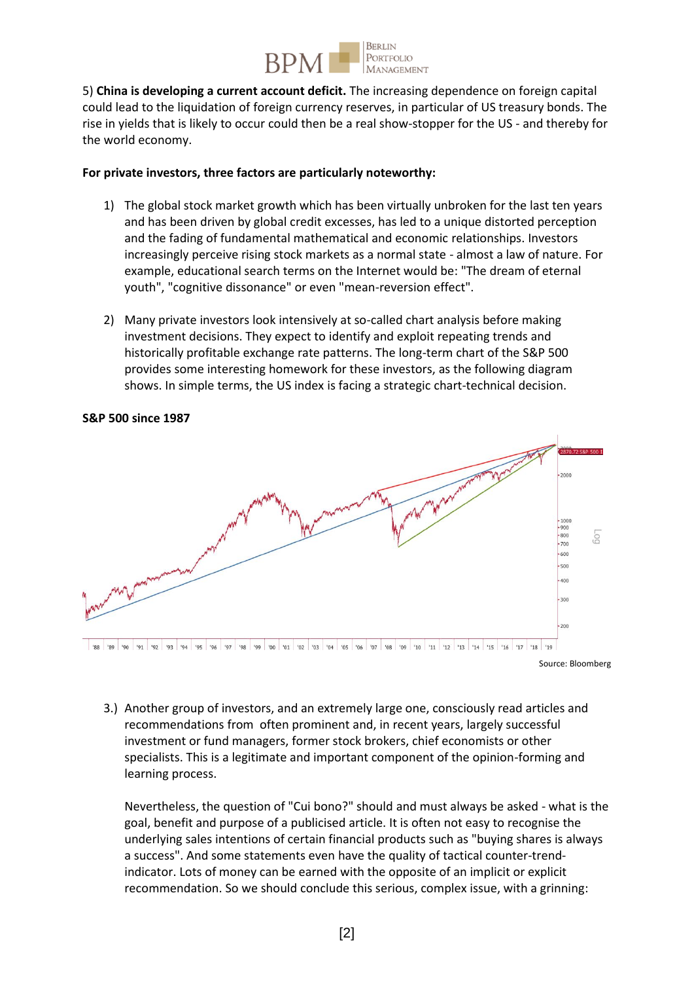

5) **China is developing a current account deficit.** The increasing dependence on foreign capital could lead to the liquidation of foreign currency reserves, in particular of US treasury bonds. The rise in yields that is likely to occur could then be a real show-stopper for the US - and thereby for the world economy.

### **For private investors, three factors are particularly noteworthy:**

- 1) The global stock market growth which has been virtually unbroken for the last ten years and has been driven by global credit excesses, has led to a unique distorted perception and the fading of fundamental mathematical and economic relationships. Investors increasingly perceive rising stock markets as a normal state - almost a law of nature. For example, educational search terms on the Internet would be: "The dream of eternal youth", "cognitive dissonance" or even "mean-reversion effect".
- 2) Many private investors look intensively at so-called chart analysis before making investment decisions. They expect to identify and exploit repeating trends and historically profitable exchange rate patterns. The long-term chart of the S&P 500 provides some interesting homework for these investors, as the following diagram shows. In simple terms, the US index is facing a strategic chart-technical decision.



**S&P 500 since 1987**

Source: Bloomberg

3.) Another group of investors, and an extremely large one, consciously read articles and recommendations from often prominent and, in recent years, largely successful investment or fund managers, former stock brokers, chief economists or other specialists. This is a legitimate and important component of the opinion-forming and learning process.

Nevertheless, the question of "Cui bono?" should and must always be asked - what is the goal, benefit and purpose of a publicised article. It is often not easy to recognise the underlying sales intentions of certain financial products such as "buying shares is always a success". And some statements even have the quality of tactical counter-trendindicator. Lots of money can be earned with the opposite of an implicit or explicit recommendation. So we should conclude this serious, complex issue, with a grinning: